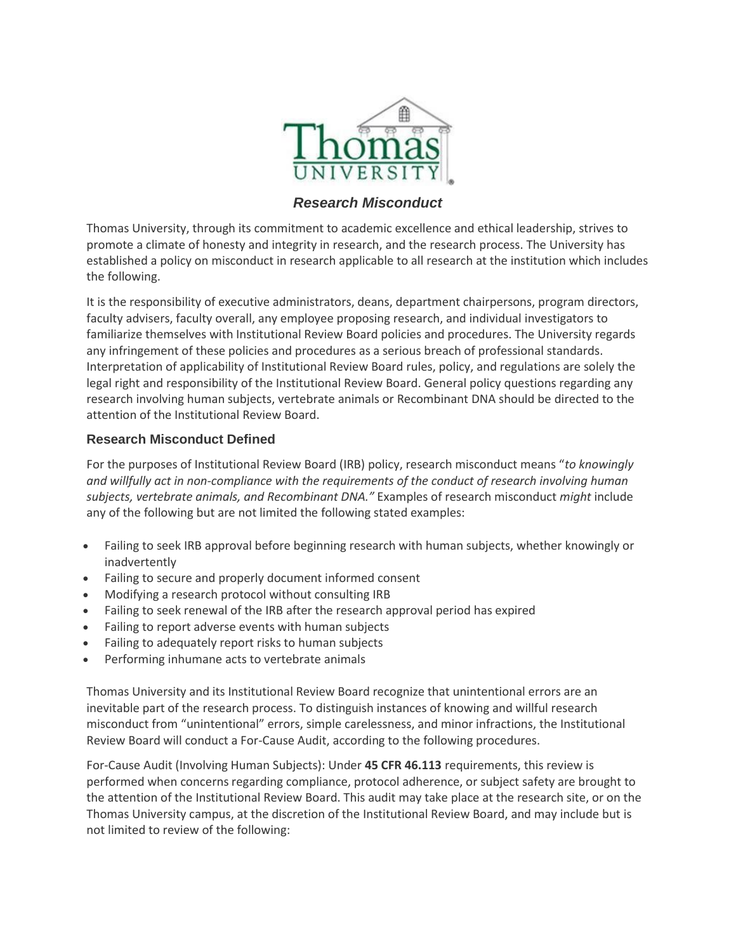

## *Research Misconduct*

Thomas University, through its commitment to academic excellence and ethical leadership, strives to promote a climate of honesty and integrity in research, and the research process. The University has established a policy on misconduct in research applicable to all research at the institution which includes the following.

It is the responsibility of executive administrators, deans, department chairpersons, program directors, faculty advisers, faculty overall, any employee proposing research, and individual investigators to familiarize themselves with Institutional Review Board policies and procedures. The University regards any infringement of these policies and procedures as a serious breach of professional standards. Interpretation of applicability of Institutional Review Board rules, policy, and regulations are solely the legal right and responsibility of the Institutional Review Board. General policy questions regarding any research involving human subjects, vertebrate animals or Recombinant DNA should be directed to the attention of the Institutional Review Board.

## **Research Misconduct Defined**

For the purposes of Institutional Review Board (IRB) policy, research misconduct means "*to knowingly and willfully act in non-compliance with the requirements of the conduct of research involving human subjects, vertebrate animals, and Recombinant DNA."* Examples of research misconduct *might* include any of the following but are not limited the following stated examples:

- Failing to seek IRB approval before beginning research with human subjects, whether knowingly or inadvertently
- Failing to secure and properly document informed consent
- Modifying a research protocol without consulting IRB
- Failing to seek renewal of the IRB after the research approval period has expired
- Failing to report adverse events with human subjects
- Failing to adequately report risks to human subjects
- Performing inhumane acts to vertebrate animals

Thomas University and its Institutional Review Board recognize that unintentional errors are an inevitable part of the research process. To distinguish instances of knowing and willful research misconduct from "unintentional" errors, simple carelessness, and minor infractions, the Institutional Review Board will conduct a For-Cause Audit, according to the following procedures.

For-Cause Audit (Involving Human Subjects): Under **45 CFR 46.113** requirements, this review is performed when concerns regarding compliance, protocol adherence, or subject safety are brought to the attention of the Institutional Review Board. This audit may take place at the research site, or on the Thomas University campus, at the discretion of the Institutional Review Board, and may include but is not limited to review of the following: